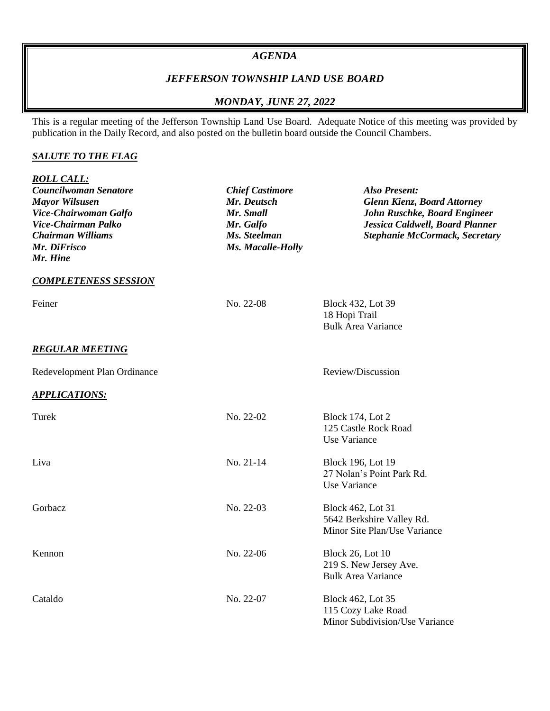#### *AGENDA*

# *JEFFERSON TOWNSHIP LAND USE BOARD*

## *MONDAY, JUNE 27, 2022*

This is a regular meeting of the Jefferson Township Land Use Board. Adequate Notice of this meeting was provided by publication in the Daily Record, and also posted on the bulletin board outside the Council Chambers.

### *SALUTE TO THE FLAG*

| <b>ROLL CALL:</b><br>Councilwoman Senatore<br><b>Mayor Wilsusen</b><br>Vice-Chairwoman Galfo<br>Vice-Chairman Palko<br><b>Chairman Williams</b><br>Mr. DiFrisco<br>Mr. Hine | <b>Chief Castimore</b><br>Mr. Deutsch<br>Mr. Small<br>Mr. Galfo<br>Ms. Steelman<br>Ms. Macalle-Holly | <b>Also Present:</b><br><b>Glenn Kienz, Board Attorney</b><br>John Ruschke, Board Engineer<br>Jessica Caldwell, Board Planner<br><b>Stephanie McCormack, Secretary</b> |
|-----------------------------------------------------------------------------------------------------------------------------------------------------------------------------|------------------------------------------------------------------------------------------------------|------------------------------------------------------------------------------------------------------------------------------------------------------------------------|
| <b>COMPLETENESS SESSION</b>                                                                                                                                                 |                                                                                                      |                                                                                                                                                                        |
| Feiner                                                                                                                                                                      | No. 22-08                                                                                            | Block 432, Lot 39<br>18 Hopi Trail<br><b>Bulk Area Variance</b>                                                                                                        |
| <b>REGULAR MEETING</b>                                                                                                                                                      |                                                                                                      |                                                                                                                                                                        |
| Redevelopment Plan Ordinance                                                                                                                                                |                                                                                                      | Review/Discussion                                                                                                                                                      |
| <b>APPLICATIONS:</b>                                                                                                                                                        |                                                                                                      |                                                                                                                                                                        |
| Turek                                                                                                                                                                       | No. 22-02                                                                                            | <b>Block 174, Lot 2</b><br>125 Castle Rock Road<br>Use Variance                                                                                                        |
| Liva                                                                                                                                                                        | No. 21-14                                                                                            | <b>Block 196, Lot 19</b><br>27 Nolan's Point Park Rd.<br>Use Variance                                                                                                  |
| Gorbacz                                                                                                                                                                     | No. 22-03                                                                                            | Block 462, Lot 31<br>5642 Berkshire Valley Rd.<br>Minor Site Plan/Use Variance                                                                                         |
| Kennon                                                                                                                                                                      | No. 22-06                                                                                            | <b>Block 26, Lot 10</b><br>219 S. New Jersey Ave.<br><b>Bulk Area Variance</b>                                                                                         |
| Cataldo                                                                                                                                                                     | No. 22-07                                                                                            | Block 462, Lot 35<br>115 Cozy Lake Road<br>Minor Subdivision/Use Variance                                                                                              |